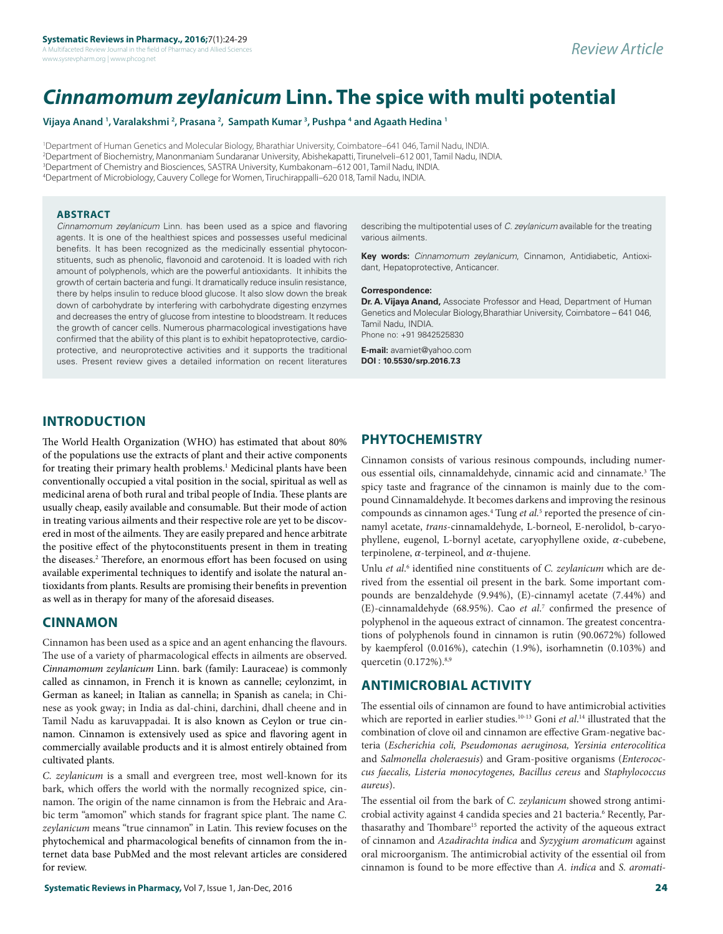A Multifaceted Review Journal in the field of Pharmacy and Allied Sciences www.sysrevpharm.org | www.phcog.net

# *Cinnamomum zeylanicum* **Linn. The spice with multi potential**

Vijaya Anand <sup>1</sup>, Varalakshmi <sup>2</sup>, Prasana <sup>2</sup>, Sampath Kumar <sup>3</sup>, Pushpa <sup>4</sup> and Agaath Hedina <sup>1</sup>

 Department of Human Genetics and Molecular Biology, Bharathiar University, Coimbatore–641 046, Tamil Nadu, INDIA. Department of Biochemistry, Manonmaniam Sundaranar University, Abishekapatti, Tirunelveli–612 001, Tamil Nadu, INDIA. Department of Chemistry and Biosciences, SASTRA University, Kumbakonam–612 001, Tamil Nadu, INDIA. Department of Microbiology, Cauvery College for Women, Tiruchirappalli–620 018, Tamil Nadu, INDIA.

#### **ABSTRACT**

*Cinnamomum zeylanicum* Linn. has been used as a spice and flavoring agents. It is one of the healthiest spices and possesses useful medicinal benefits. It has been recognized as the medicinally essential phytoconstituents, such as phenolic, flavonoid and carotenoid. It is loaded with rich amount of polyphenols, which are the powerful antioxidants. It inhibits the growth of certain bacteria and fungi. It dramatically reduce insulin resistance, there by helps insulin to reduce blood glucose. It also slow down the break down of carbohydrate by interfering with carbohydrate digesting enzymes and decreases the entry of glucose from intestine to bloodstream. It reduces the growth of cancer cells. Numerous pharmacological investigations have confirmed that the ability of this plant is to exhibit hepatoprotective, cardioprotective, and neuroprotective activities and it supports the traditional uses. Present review gives a detailed information on recent literatures

describing the multipotential uses of *C. zeylanicum* available for the treating various ailments.

**Key words:** *Cinnamomum zeylanicum*, Cinnamon, Antidiabetic, Antioxidant, Hepatoprotective, Anticancer.

#### **Correspondence:**

**Dr. A. Vijaya Anand,** Associate Professor and Head, Department of Human Genetics and Molecular Biology,Bharathiar University, Coimbatore – 641 046, Tamil Nadu, INDIA. Phone no: +91 9842525830

**E-mail:** avamiet@yahoo.com **DOI : 10.5530/srp.2016.7.3**

# **INTRODUCTION**

The World Health Organization (WHO) has estimated that about 80% of the populations use the extracts of plant and their active components for treating their primary health problems.<sup>1</sup> Medicinal plants have been conventionally occupied a vital position in the social, spiritual as well as medicinal arena of both rural and tribal people of India. These plants are usually cheap, easily available and consumable. But their mode of action in treating various ailments and their respective role are yet to be discovered in most of the ailments. They are easily prepared and hence arbitrate the positive effect of the phytoconstituents present in them in treating the diseases.2 Therefore, an enormous effort has been focused on using available experimental techniques to identify and isolate the natural antioxidants from plants. Results are promising their benefits in prevention as well as in therapy for many of the aforesaid diseases.

#### **CINNAMON**

Cinnamon has been used as a spice and an agent enhancing the flavours. The use of a variety of pharmacological effects in ailments are observed. *Cinnamomum zeylanicum* Linn. bark (family: Lauraceae) is commonly called as cinnamon, in French it is known as cannelle; ceylonzimt, in German as kaneel; in Italian as cannella; in Spanish as canela; in Chinese as yook gway; in India as dal-chini, darchini, dhall cheene and in Tamil Nadu as karuvappadai. It is also known as Ceylon or true cinnamon. Cinnamon is extensively used as spice and flavoring agent in commercially available products and it is almost entirely obtained from cultivated plants.

*C. zeylanicum* is a small and evergreen tree, most well-known for its bark, which offers the world with the normally recognized spice, cinnamon. The origin of the name cinnamon is from the Hebraic and Arabic term "amomon" which stands for fragrant spice plant. The name *C. zeylanicum* means "true cinnamon" in Latin*.* This review focuses on the phytochemical and pharmacological benefits of cinnamon from the internet data base PubMed and the most relevant articles are considered for review.

# **PHYTOCHEMISTRY**

Cinnamon consists of various resinous compounds, including numerous essential oils, cinnamaldehyde, cinnamic acid and cinnamate.3 The spicy taste and fragrance of the cinnamon is mainly due to the compound Cinnamaldehyde. It becomes darkens and improving the resinous compounds as cinnamon ages.<sup>4</sup> Tung *et al.*<sup>5</sup> reported the presence of cinnamyl acetate, *trans*-cinnamaldehyde, L-borneol, E-nerolidol, b-caryophyllene, eugenol, L-bornyl acetate, caryophyllene oxide,  $\alpha$ -cubebene, terpinolene,  $\alpha$ -terpineol, and  $\alpha$ -thujene.

Unlu et al.<sup>6</sup> identified nine constituents of *C. zeylanicum* which are derived from the essential oil present in the bark*.* Some important compounds are benzaldehyde (9.94%), (E)-cinnamyl acetate (7.44%) and (E)-cinnamaldehyde (68.95%). Cao *et al*. <sup>7</sup> confirmed the presence of polyphenol in the aqueous extract of cinnamon. The greatest concentrations of polyphenols found in cinnamon is rutin (90.0672%) followed by kaempferol (0.016%), catechin (1.9%), isorhamnetin (0.103%) and quercetin (0.172%).<sup>8,9</sup>

## **ANTIMICROBIAL ACTIVITY**

The essential oils of cinnamon are found to have antimicrobial activities which are reported in earlier studies.10-13 Goni *et al*. <sup>14</sup> illustrated that the combination of clove oil and cinnamon are effective Gram-negative bacteria (*Escherichia coli, Pseudomonas aeruginosa, Yersinia enterocolitica*  and *Salmonella choleraesuis*) and Gram-positive organisms (*Enterococcus faecalis, Listeria monocytogenes, Bacillus cereus* and *Staphylococcus aureus*).

The essential oil from the bark of *C. zeylanicum* showed strong antimicrobial activity against 4 candida species and 21 bacteria.<sup>6</sup> Recently, Parthasarathy and Thombare<sup>15</sup> reported the activity of the aqueous extract of cinnamon and *Azadirachta indica* and *Syzygium aromaticum* against oral microorganism. The antimicrobial activity of the essential oil from cinnamon is found to be more effective than *A. indica* and *S. aromati-*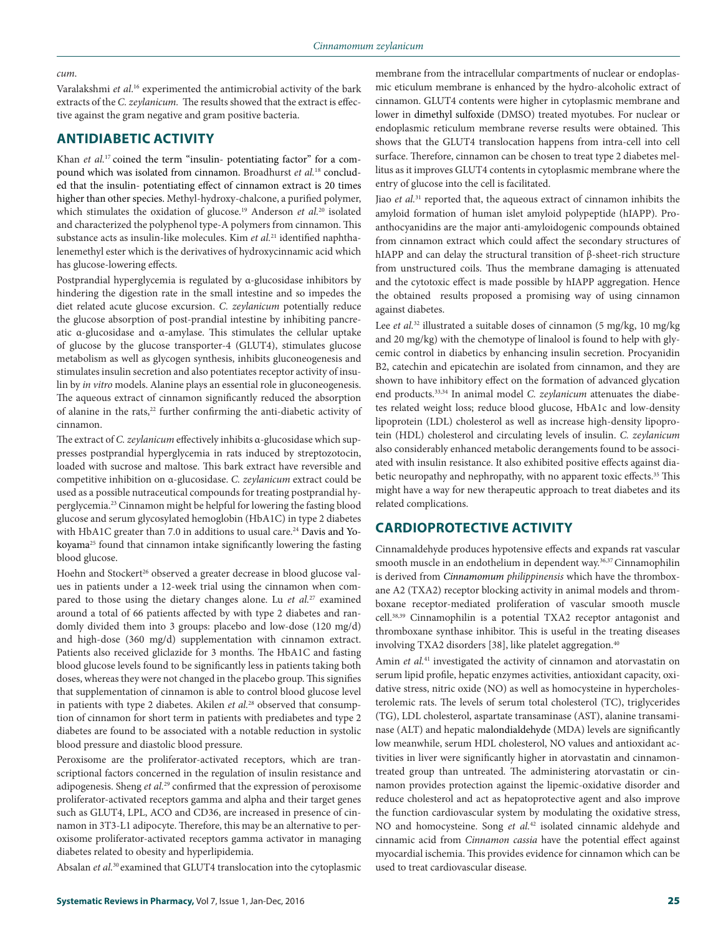#### *cum*.

Varalakshmi *et al*. 16 experimented the antimicrobial activity of the bark extracts of the *C. zeylanicum.* The results showed that the extract is effective against the gram negative and gram positive bacteria.

# **ANTIDIABETIC ACTIVITY**

Khan *et al.*<sup>17</sup> coined the term "insulin- potentiating factor" for a compound which was isolated from cinnamon. Broadhurst *et al.*<sup>18</sup> concluded that the insulin- potentiating effect of cinnamon extract is 20 times higher than other species. Methyl-hydroxy-chalcone, a purified polymer, which stimulates the oxidation of glucose.<sup>19</sup> Anderson et al.<sup>20</sup> isolated and characterized the polyphenol type-A polymers from cinnamon. This substance acts as insulin-like molecules. Kim *et al.*<sup>21</sup> identified naphthalenemethyl ester which is the derivatives of hydroxycinnamic acid which has glucose-lowering effects.

Postprandial hyperglycemia is regulated by α-glucosidase inhibitors by hindering the digestion rate in the small intestine and so impedes the diet related acute glucose excursion. *C. zeylanicum* potentially reduce the glucose absorption of post-prandial intestine by inhibiting pancreatic α-glucosidase and α-amylase. This stimulates the cellular uptake of glucose by the glucose transporter-4 (GLUT4), stimulates glucose metabolism as well as glycogen synthesis, inhibits gluconeogenesis and stimulates insulin secretion and also potentiates receptor activity of insulin by *in vitro* models. Alanine plays an essential role in gluconeogenesis. The aqueous extract of cinnamon significantly reduced the absorption of alanine in the rats,<sup>22</sup> further confirming the anti-diabetic activity of cinnamon.

The extract of *C. zeylanicum* effectively inhibits α-glucosidase which suppresses postprandial hyperglycemia in rats induced by streptozotocin, loaded with sucrose and maltose. This bark extract have reversible and competitive inhibition on α-glucosidase. *C. zeylanicum* extract could be used as a possible nutraceutical compounds for treating postprandial hyperglycemia.23 Cinnamon might be helpful for lowering the fasting blood glucose and serum glycosylated hemoglobin (HbA1C) in type 2 diabetes with HbA1C greater than 7.0 in additions to usual care.<sup>24</sup> Davis and Yokoyama25 found that cinnamon intake significantly lowering the fasting blood glucose.

Hoehn and Stockert<sup>26</sup> observed a greater decrease in blood glucose values in patients under a 12-week trial using the cinnamon when compared to those using the dietary changes alone. Lu *et al.*27 examined around a total of 66 patients affected by with type 2 diabetes and randomly divided them into 3 groups: placebo and low-dose (120 mg/d) and high-dose (360 mg/d) supplementation with cinnamon extract. Patients also received gliclazide for 3 months. The HbA1C and fasting blood glucose levels found to be significantly less in patients taking both doses, whereas they were not changed in the placebo group. This signifies that supplementation of cinnamon is able to control blood glucose level in patients with type 2 diabetes. Akilen *et al.*28 observed that consumption of cinnamon for short term in patients with prediabetes and type 2 diabetes are found to be associated with a notable reduction in systolic blood pressure and diastolic blood pressure.

Peroxisome are the proliferator-activated receptors, which are transcriptional factors concerned in the regulation of insulin resistance and adipogenesis. Sheng *et al.*29 confirmed that the expression of peroxisome proliferator-activated receptors gamma and alpha and their target genes such as GLUT4, LPL, ACO and CD36, are increased in presence of cinnamon in 3T3-L1 adipocyte. Therefore, this may be an alternative to peroxisome proliferator-activated receptors gamma activator in managing diabetes related to obesity and hyperlipidemia.

Absalan *et al.*<sup>30</sup> examined that GLUT4 translocation into the cytoplasmic

membrane from the intracellular compartments of nuclear or endoplasmic eticulum membrane is enhanced by the hydro-alcoholic extract of cinnamon. GLUT4 contents were higher in cytoplasmic membrane and lower in dimethyl sulfoxide (DMSO) treated myotubes. For nuclear or endoplasmic reticulum membrane reverse results were obtained. This shows that the GLUT4 translocation happens from intra-cell into cell surface. Therefore, cinnamon can be chosen to treat type 2 diabetes mellitus as it improves GLUT4 contents in cytoplasmic membrane where the entry of glucose into the cell is facilitated.

Jiao *et al.*31 reported that, the aqueous extract of cinnamon inhibits the amyloid formation of human islet amyloid polypeptide (hIAPP). Proanthocyanidins are the major anti-amyloidogenic compounds obtained from cinnamon extract which could affect the secondary structures of hIAPP and can delay the structural transition of β-sheet-rich structure from unstructured coils. Thus the membrane damaging is attenuated and the cytotoxic effect is made possible by hIAPP aggregation. Hence the obtained results proposed a promising way of using cinnamon against diabetes.

Lee *et al.*<sup>32</sup> illustrated a suitable doses of cinnamon (5 mg/kg, 10 mg/kg and 20 mg/kg) with the chemotype of linalool is found to help with glycemic control in diabetics by enhancing insulin secretion. Procyanidin B2, catechin and epicatechin are isolated from cinnamon, and they are shown to have inhibitory effect on the formation of advanced glycation end products.33,34 In animal model *C. zeylanicum* attenuates the diabetes related weight loss; reduce blood glucose, HbA1c and low-density lipoprotein (LDL) cholesterol as well as increase high-density lipoprotein (HDL) cholesterol and circulating levels of insulin. *C. zeylanicum* also considerably enhanced metabolic derangements found to be associated with insulin resistance. It also exhibited positive effects against diabetic neuropathy and nephropathy, with no apparent toxic effects.<sup>35</sup> This might have a way for new therapeutic approach to treat diabetes and its related complications.

# **CARDIOPROTECTIVE ACTIVITY**

Cinnamaldehyde produces hypotensive effects and expands rat vascular smooth muscle in an endothelium in dependent way.<sup>36,37</sup> Cinnamophilin is derived from *Cinnamomum philippinensis* which have the thromboxane A2 (TXA2) receptor blocking activity in animal models and thromboxane receptor-mediated proliferation of vascular smooth muscle cell.38,39 Cinnamophilin is a potential TXA2 receptor antagonist and thromboxane synthase inhibitor. This is useful in the treating diseases involving TXA2 disorders [38], like platelet aggregation.<sup>40</sup>

Amin et al.<sup>41</sup> investigated the activity of cinnamon and atorvastatin on serum lipid profile, hepatic enzymes activities, antioxidant capacity, oxidative stress, nitric oxide (NO) as well as homocysteine in hypercholesterolemic rats. The levels of serum total cholesterol (TC), triglycerides (TG), LDL cholesterol, aspartate transaminase (AST), alanine transaminase (ALT) and hepatic malondialdehyde (MDA) levels are significantly low meanwhile, serum HDL cholesterol, NO values and antioxidant activities in liver were significantly higher in atorvastatin and cinnamontreated group than untreated. The administering atorvastatin or cinnamon provides protection against the lipemic-oxidative disorder and reduce cholesterol and act as hepatoprotective agent and also improve the function cardiovascular system by modulating the oxidative stress, NO and homocysteine. Song *et al.*42 isolated cinnamic aldehyde and cinnamic acid from *Cinnamon cassia* have the potential effect against myocardial ischemia. This provides evidence for cinnamon which can be used to treat cardiovascular disease.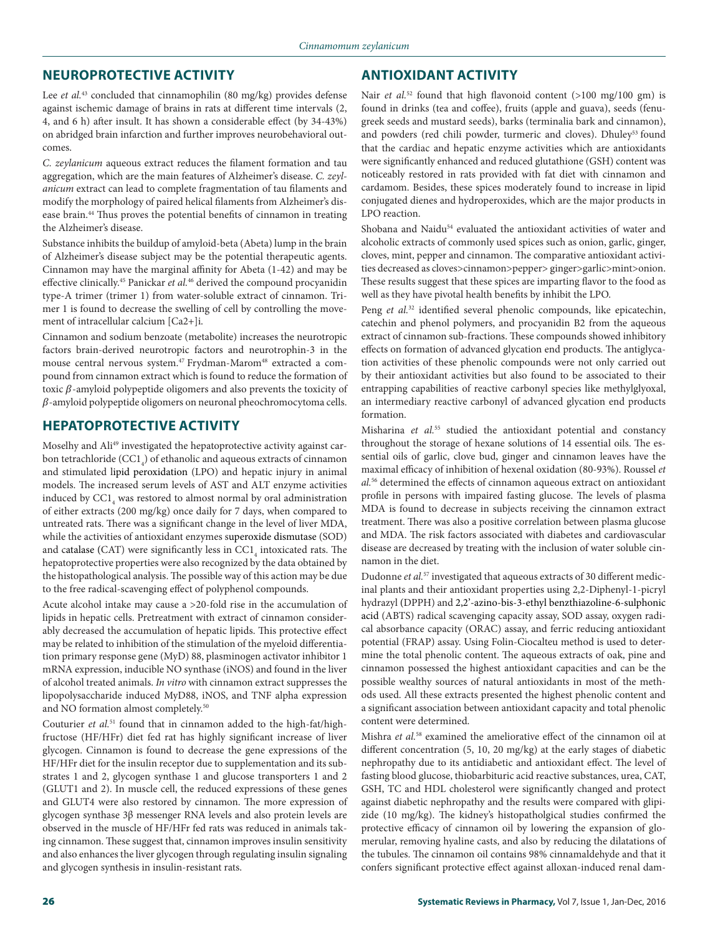## **NEUROPROTECTIVE ACTIVITY**

Lee *et al.*<sup>43</sup> concluded that cinnamophilin (80 mg/kg) provides defense against ischemic damage of brains in rats at different time intervals (2, 4, and 6 h) after insult. It has shown a considerable effect (by 34-43%) on abridged brain infarction and further improves neurobehavioral outcomes.

*C. zeylanicum* aqueous extract reduces the filament formation and tau aggregation, which are the main features of Alzheimer's disease. *C. zeylanicum* extract can lead to complete fragmentation of tau filaments and modify the morphology of paired helical filaments from Alzheimer's disease brain.44 Thus proves the potential benefits of cinnamon in treating the Alzheimer's disease.

Substance inhibits the buildup of amyloid-beta (Abeta) lump in the brain of Alzheimer's disease subject may be the potential therapeutic agents. Cinnamon may have the marginal affinity for Abeta (1-42) and may be effective clinically.<sup>45</sup> Panickar *et al.*<sup>46</sup> derived the compound procyanidin type-A trimer (trimer 1) from water-soluble extract of cinnamon. Trimer 1 is found to decrease the swelling of cell by controlling the movement of intracellular calcium [Ca2+]i.

Cinnamon and sodium benzoate (metabolite) increases the neurotropic factors brain-derived neurotropic factors and neurotrophin-3 in the mouse central nervous system.<sup>47</sup> Frydman-Marom<sup>48</sup> extracted a compound from cinnamon extract which is found to reduce the formation of toxic  $\beta$ -amyloid polypeptide oligomers and also prevents the toxicity of  $\beta$ -amyloid polypeptide oligomers on neuronal pheochromocytoma cells.

## **HEPATOPROTECTIVE ACTIVITY**

Moselhy and Ali<sup>49</sup> investigated the hepatoprotective activity against carbon tetrachloride  $(CC1<sub>4</sub>)$  of ethanolic and aqueous extracts of cinnamon and stimulated lipid peroxidation (LPO) and hepatic injury in animal models. The increased serum levels of AST and ALT enzyme activities induced by  $\mathtt{CC1}_4$  was restored to almost normal by oral administration of either extracts (200 mg/kg) once daily for 7 days, when compared to untreated rats. There was a significant change in the level of liver MDA, while the activities of antioxidant enzymes superoxide dismutase (SOD) and catalase (CAT) were significantly less in  $\mathrm{CC1}_4$  intoxicated rats. The hepatoprotective properties were also recognized by the data obtained by the histopathological analysis. The possible way of this action may be due to the free radical-scavenging effect of polyphenol compounds.

Acute alcohol intake may cause a >20-fold rise in the accumulation of lipids in hepatic cells. Pretreatment with extract of cinnamon considerably decreased the accumulation of hepatic lipids. This protective effect may be related to inhibition of the stimulation of the myeloid differentiation primary response gene (MyD) 88, plasminogen activator inhibitor 1 mRNA expression, inducible NO synthase (iNOS) and found in the liver of alcohol treated animals. *In vitro* with cinnamon extract suppresses the lipopolysaccharide induced MyD88, iNOS, and TNF alpha expression and NO formation almost completely.50

Couturier *et al.*51 found that in cinnamon added to the high-fat/highfructose (HF/HFr) diet fed rat has highly significant increase of liver glycogen. Cinnamon is found to decrease the gene expressions of the HF/HFr diet for the insulin receptor due to supplementation and its substrates 1 and 2, glycogen synthase 1 and glucose transporters 1 and 2 (GLUT1 and 2). In muscle cell, the reduced expressions of these genes and GLUT4 were also restored by cinnamon. The more expression of glycogen synthase 3β messenger RNA levels and also protein levels are observed in the muscle of HF/HFr fed rats was reduced in animals taking cinnamon. These suggest that, cinnamon improves insulin sensitivity and also enhances the liver glycogen through regulating insulin signaling and glycogen synthesis in insulin-resistant rats.

# **ANTIOXIDANT ACTIVITY**

Nair *et al.*<sup>52</sup> found that high flavonoid content (>100 mg/100 gm) is found in drinks (tea and coffee), fruits (apple and guava), seeds (fenugreek seeds and mustard seeds), barks (terminalia bark and cinnamon), and powders (red chili powder, turmeric and cloves). Dhuley<sup>53</sup> found that the cardiac and hepatic enzyme activities which are antioxidants were significantly enhanced and reduced glutathione (GSH) content was noticeably restored in rats provided with fat diet with cinnamon and cardamom. Besides, these spices moderately found to increase in lipid conjugated dienes and hydroperoxides, which are the major products in LPO reaction.

Shobana and Naidu<sup>54</sup> evaluated the antioxidant activities of water and alcoholic extracts of commonly used spices such as onion, garlic, ginger, cloves, mint, pepper and cinnamon. The comparative antioxidant activities decreased as cloves>cinnamon>pepper> ginger>garlic>mint>onion. These results suggest that these spices are imparting flavor to the food as well as they have pivotal health benefits by inhibit the LPO.

Peng *et al.*<sup>32</sup> identified several phenolic compounds, like epicatechin, catechin and phenol polymers, and procyanidin B2 from the aqueous extract of cinnamon sub-fractions. These compounds showed inhibitory effects on formation of advanced glycation end products. The antiglycation activities of these phenolic compounds were not only carried out by their antioxidant activities but also found to be associated to their entrapping capabilities of reactive carbonyl species like methylglyoxal, an intermediary reactive carbonyl of advanced glycation end products formation.

Misharina *et al.*<sup>55</sup> studied the antioxidant potential and constancy throughout the storage of hexane solutions of 14 essential oils. The essential oils of garlic, clove bud, ginger and cinnamon leaves have the maximal efficacy of inhibition of hexenal oxidation (80-93%). Roussel *et al.*56 determined the effects of cinnamon aqueous extract on antioxidant profile in persons with impaired fasting glucose. The levels of plasma MDA is found to decrease in subjects receiving the cinnamon extract treatment. There was also a positive correlation between plasma glucose and MDA. The risk factors associated with diabetes and cardiovascular disease are decreased by treating with the inclusion of water soluble cinnamon in the diet.

Dudonne *et al.*<sup>57</sup> investigated that aqueous extracts of 30 different medicinal plants and their antioxidant properties using 2,2-Diphenyl-1-picryl hydrazyl (DPPH) and 2,2'-azino-bis-3-ethyl benzthiazoline-6-sulphonic acid (ABTS) radical scavenging capacity assay, SOD assay, oxygen radical absorbance capacity (ORAC) assay, and ferric reducing antioxidant potential (FRAP) assay. Using Folin-Ciocalteu method is used to determine the total phenolic content. The aqueous extracts of oak, pine and cinnamon possessed the highest antioxidant capacities and can be the possible wealthy sources of natural antioxidants in most of the methods used. All these extracts presented the highest phenolic content and a significant association between antioxidant capacity and total phenolic content were determined.

Mishra *et al.*<sup>58</sup> examined the ameliorative effect of the cinnamon oil at different concentration (5, 10, 20 mg/kg) at the early stages of diabetic nephropathy due to its antidiabetic and antioxidant effect. The level of fasting blood glucose, thiobarbituric acid reactive substances, urea, CAT, GSH, TC and HDL cholesterol were significantly changed and protect against diabetic nephropathy and the results were compared with glipizide (10 mg/kg). The kidney's histopatholgical studies confirmed the protective efficacy of cinnamon oil by lowering the expansion of glomerular, removing hyaline casts, and also by reducing the dilatations of the tubules. The cinnamon oil contains 98% cinnamaldehyde and that it confers significant protective effect against alloxan-induced renal dam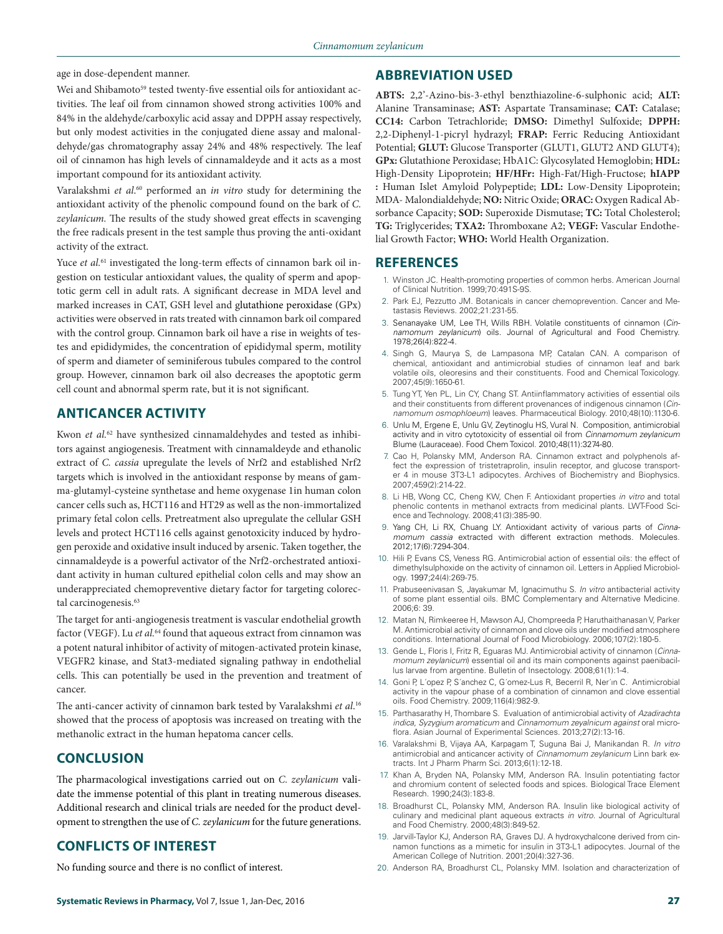age in dose-dependent manner.

Wei and Shibamoto<sup>59</sup> tested twenty-five essential oils for antioxidant activities. The leaf oil from cinnamon showed strong activities 100% and 84% in the aldehyde/carboxylic acid assay and DPPH assay respectively, but only modest activities in the conjugated diene assay and malonaldehyde/gas chromatography assay 24% and 48% respectively. The leaf oil of cinnamon has high levels of cinnamaldeyde and it acts as a most important compound for its antioxidant activity.

Varalakshmi *et al*. 60 performed an *in vitro* study for determining the antioxidant activity of the phenolic compound found on the bark of *C. zeylanicum.* The results of the study showed great effects in scavenging the free radicals present in the test sample thus proving the anti-oxidant activity of the extract.

Yuce et al.<sup>61</sup> investigated the long-term effects of cinnamon bark oil ingestion on testicular antioxidant values, the quality of sperm and apoptotic germ cell in adult rats. A significant decrease in MDA level and marked increases in CAT, GSH level and glutathione peroxidase (GPx) activities were observed in rats treated with cinnamon bark oil compared with the control group. Cinnamon bark oil have a rise in weights of testes and epididymides, the concentration of epididymal sperm, motility of sperm and diameter of seminiferous tubules compared to the control group. However, cinnamon bark oil also decreases the apoptotic germ cell count and abnormal sperm rate, but it is not significant.

# **ANTICANCER ACTIVITY**

Kwon *et al.*62 have synthesized cinnamaldehydes and tested as inhibitors against angiogenesis. Treatment with cinnamaldeyde and ethanolic extract of *C. cassia* upregulate the levels of Nrf2 and established Nrf2 targets which is involved in the antioxidant response by means of gamma-glutamyl-cysteine synthetase and heme oxygenase 1in human colon cancer cells such as, HCT116 and HT29 as well as the non-immortalized primary fetal colon cells. Pretreatment also upregulate the cellular GSH levels and protect HCT116 cells against genotoxicity induced by hydrogen peroxide and oxidative insult induced by arsenic. Taken together, the cinnamaldeyde is a powerful activator of the Nrf2-orchestrated antioxidant activity in human cultured epithelial colon cells and may show an underappreciated chemopreventive dietary factor for targeting colorectal carcinogenesis.<sup>63</sup>

The target for anti-angiogenesis treatment is vascular endothelial growth factor (VEGF). Lu et al.<sup>64</sup> found that aqueous extract from cinnamon was a potent natural inhibitor of activity of mitogen-activated protein kinase, VEGFR2 kinase, and Stat3-mediated signaling pathway in endothelial cells. This can potentially be used in the prevention and treatment of cancer.

The anti-cancer activity of cinnamon bark tested by Varalakshmi *et al*. 16 showed that the process of apoptosis was increased on treating with the methanolic extract in the human hepatoma cancer cells.

# **CONCLUSION**

The pharmacological investigations carried out on *C. zeylanicum* validate the immense potential of this plant in treating numerous diseases. Additional research and clinical trials are needed for the product development to strengthen the use of *C. zeylanicum* for the future generations.

# **CONFLICTS OF INTEREST**

No funding source and there is no conflict of interest.

## **ABBREVIATION USED**

**ABTS:** 2,2'-Azino-bis-3-ethyl benzthiazoline-6-sulphonic acid; **ALT:**  Alanine Transaminase; **AST:** Aspartate Transaminase; **CAT:** Catalase; **CC14:** Carbon Tetrachloride; **DMSO:** Dimethyl Sulfoxide; **DPPH:**  2,2-Diphenyl-1-picryl hydrazyl; **FRAP:** Ferric Reducing Antioxidant Potential; **GLUT:** Glucose Transporter (GLUT1, GLUT2 AND GLUT4); **GPx:** Glutathione Peroxidase; HbA1C: Glycosylated Hemoglobin; **HDL:**  High-Density Lipoprotein; **HF/HFr:** High-Fat/High-Fructose; **hIAPP :** Human Islet Amyloid Polypeptide; **LDL:** Low-Density Lipoprotein; MDA- Malondialdehyde; **NO:** Nitric Oxide; **ORAC:** Oxygen Radical Absorbance Capacity; **SOD:** Superoxide Dismutase; **TC:** Total Cholesterol; **TG:** Triglycerides; **TXA2:** Thromboxane A2; **VEGF:** Vascular Endothelial Growth Factor; **WHO:** World Health Organization.

### **REFERENCES**

- 1. Winston JC. Health-promoting properties of common herbs. American Journal of Clinical Nutrition. 1999;70:491S-9S.
- 2. Park EJ, Pezzutto JM. Botanicals in cancer chemoprevention. Cancer and Metastasis Reviews. 2002;21:231-55.
- 3. Senanayake UM, Lee TH, Wills RBH. Volatile constituents of cinnamon (*Cinnamomum zeylanicum*) oils. Journal of Agricultural and Food Chemistry. 1978;26(4):822-4.
- 4. Singh G, Maurya S, de Lampasona MP, Catalan CAN. A comparison of chemical, antioxidant and antimicrobial studies of cinnamon leaf and bark volatile oils, oleoresins and their constituents. Food and Chemical Toxicology. 2007;45(9):1650-61.
- 5. Tung YT, Yen PL, Lin CY, Chang ST. Antiinflammatory activities of essential oils and their constituents from different provenances of indigenous cinnamon (*Cinnamomum osmophloeum*) leaves. Pharmaceutical Biology. 2010;48(10):1130-6.
- 6. Unlu M, Ergene E, Unlu GV, Zeytinoglu HS, Vural N. Composition, antimicrobial activity and in vitro cytotoxicity of essential oil from *Cinnamomum zeylanicum*  Blume (Lauraceae). Food Chem Toxicol. 2010;48(11):3274-80.
- 7. Cao H, Polansky MM, Anderson RA. Cinnamon extract and polyphenols affect the expression of tristetraprolin, insulin receptor, and glucose transporter 4 in mouse 3T3-L1 adipocytes. Archives of Biochemistry and Biophysics. 2007;459(2):214-22.
- 8. Li HB, Wong CC, Cheng KW, Chen F. Antioxidant properties *in vitro* and total phenolic contents in methanol extracts from medicinal plants. LWT-Food Science and Technology. 2008;41(3):385-90.
- 9. Yang CH, Li RX, Chuang LY. Antioxidant activity of various parts of *Cinnamomum cassia* extracted with different extraction methods. Molecules. 2012;17(6):7294-304.
- 10. Hili P, Evans CS, Veness RG. Antimicrobial action of essential oils: the effect of dimethylsulphoxide on the activity of cinnamon oil. Letters in Applied Microbiology. 1997;24(4):269-75.
- 11. Prabuseenivasan S, Jayakumar M, Ignacimuthu S. *In vitro* antibacterial activity of some plant essential oils. BMC Complementary and Alternative Medicine. 2006;6: 39.
- 12. Matan N, Rimkeeree H, Mawson AJ, Chompreeda P, Haruthaithanasan V, Parker M. Antimicrobial activity of cinnamon and clove oils under modified atmosphere conditions. International Journal of Food Microbiology. 2006;107(2):180-5.
- 13. Gende L, Floris I, Fritz R, Eguaras MJ. Antimicrobial activity of cinnamon (*Cinnamomum zeylanicum*) essential oil and its main components against paenibacillus larvae from argentine. Bulletin of Insectology. 2008;61(1):1-4.
- 14. Goni P, L´opez P, S´anchez C, G´omez-Lus R, Becerril R, Ner´ın C. Antimicrobial activity in the vapour phase of a combination of cinnamon and clove essential oils. Food Chemistry. 2009;116(4):982-9.
- 15. Parthasarathy H, Thombare S. Evaluation of antimicrobial activity of *Azadirachta indica, Syzygium aromaticum* and *Cinnamomum zeyalnicum against* oral microflora. Asian Journal of Experimental Sciences. 2013;27(2):13-16.
- 16. Varalakshmi B, Vijaya AA, Karpagam T, Suguna Bai J, Manikandan R. *In vitro*  antimicrobial and anticancer activity of *Cinnamomum zeylanicum* Linn bark extracts. Int J Pharm Pharm Sci. 2013;6(1):12-18.
- 17. Khan A, Bryden NA, Polansky MM, Anderson RA. Insulin potentiating factor and chromium content of selected foods and spices. Biological Trace Element Research. 1990;24(3):183-8.
- 18. Broadhurst CL, Polansky MM, Anderson RA. Insulin like biological activity of culinary and medicinal plant aqueous extracts *in vitro*. Journal of Agricultural and Food Chemistry. 2000;48(3):849-52.
- 19. Jarvill-Taylor KJ, Anderson RA, Graves DJ. A hydroxychalcone derived from cinnamon functions as a mimetic for insulin in 3T3-L1 adipocytes. Journal of the American College of Nutrition. 2001;20(4):327-36.
- 20. Anderson RA, Broadhurst CL, Polansky MM. Isolation and characterization of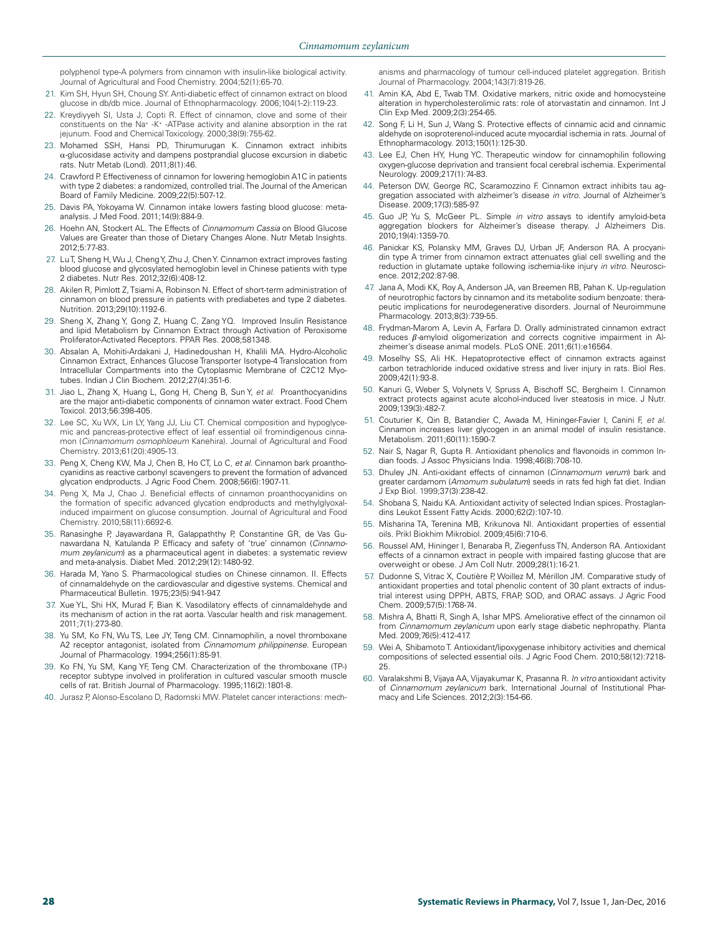polyphenol type-A polymers from cinnamon with insulin-like biological activity. Journal of Agricultural and Food Chemistry. 2004;52(1):65-70.

- 21. Kim SH, Hyun SH, Choung SY. Anti-diabetic effect of cinnamon extract on blood glucose in db/db mice. Journal of Ethnopharmacology. 2006;104(1-2):119-23.
- 22. Kreydiyyeh SI, Usta J, Copti R. Effect of cinnamon, clove and some of their constituents on the Na+ -K+ -ATPase activity and alanine absorption in the rat jejunum. Food and Chemical Toxicology. 2000;38(9):755-62.
- 23. Mohamed SSH, Hansi PD, Thirumurugan K. Cinnamon extract inhibits α-glucosidase activity and dampens postprandial glucose excursion in diabetic rats. Nutr Metab (Lond). 2011;8(1):46.
- 24. Crawford P. Effectiveness of cinnamon for lowering hemoglobin A1C in patients with type 2 diabetes: a randomized, controlled trial. The Journal of the American Board of Family Medicine. 2009;22(5):507-12.
- 25. Davis PA, Yokoyama W. Cinnamon intake lowers fasting blood glucose: metaanalysis. J Med Food. 2011;14(9):884-9.
- 26. Hoehn AN, Stockert AL. The Effects of *Cinnamomum Cassia* on Blood Glucose Values are Greater than those of Dietary Changes Alone. Nutr Metab Insights. 2012;5:77-83.
- 27. Lu T, Sheng H, Wu J, Cheng Y, Zhu J, Chen Y. Cinnamon extract improves fasting blood glucose and glycosylated hemoglobin level in Chinese patients with type 2 diabetes. Nutr Res. 2012;32(6):408-12.
- 28. Akilen R, Pimlott Z, Tsiami A, Robinson N. Effect of short-term administration of cinnamon on blood pressure in patients with prediabetes and type 2 diabetes. Nutrition. 2013;29(10):1192-6.
- 29. Sheng X, Zhang Y, Gong Z, Huang C, Zang YQ. Improved Insulin Resistance and lipid Metabolism by Cinnamon Extract through Activation of Peroxisome Proliferator-Activated Receptors. PPAR Res. 2008;581348.
- 30. Absalan A, Mohiti-Ardakani J, Hadinedoushan H, Khalili MA. Hydro-Alcoholic Cinnamon Extract, Enhances Glucose Transporter Isotype-4 Translocation from Intracellular Compartments into the Cytoplasmic Membrane of C2C12 Myotubes. Indian J Clin Biochem. 2012;27(4):351-6.
- 31. Jiao L, Zhang X, Huang L, Gong H, Cheng B, Sun Y, *et al*. Proanthocyanidins are the major anti-diabetic components of cinnamon water extract. Food Chem Toxicol. 2013;56:398-405.
- 32. Lee SC, Xu WX, Lin LY, Yang JJ, Liu CT. Chemical composition and hypoglycemic and pancreas-protective effect of leaf essential oil fromindigenous cinnamon (*Cinnamomum osmophloeum* Kanehira). Journal of Agricultural and Food Chemistry. 2013;61(20):4905-13.
- 33. Peng X, Cheng KW, Ma J, Chen B, Ho CT, Lo C, *et al*. Cinnamon bark proanthocyanidins as reactive carbonyl scavengers to prevent the formation of advanced glycation endproducts. J Agric Food Chem. 2008;56(6):1907-11.
- 34. Peng X, Ma J, Chao J. Beneficial effects of cinnamon proanthocyanidins on the formation of specific advanced glycation endproducts and methylglyoxalinduced impairment on glucose consumption. Journal of Agricultural and Food Chemistry. 2010;58(11):6692-6.
- 35. Ranasinghe P, Jayawardana R, Galappaththy P, Constantine GR, de Vas Gunawardana N, Katulanda P. Efficacy and safety of 'true' cinnamon (*Cinnamomum zeylanicum*) as a pharmaceutical agent in diabetes: a systematic review and meta-analysis. Diabet Med. 2012;29(12):1480-92.
- 36. Harada M, Yano S. Pharmacological studies on Chinese cinnamon. II. Effects of cinnamaldehyde on the cardiovascular and digestive systems. Chemical and Pharmaceutical Bulletin. 1975;23(5):941-947.
- 37. Xue YL, Shi HX, Murad F, Bian K. Vasodilatory effects of cinnamaldehyde and its mechanism of action in the rat aorta. Vascular health and risk management. 2011;7(1):273-80.
- 38. Yu SM, Ko FN, Wu TS, Lee JY, Teng CM. Cinnamophilin, a novel thromboxane A2 receptor antagonist, isolated from *Cinnamomum philippinense.* European Journal of Pharmacology. 1994;256(1):85-91.
- 39. Ko FN, Yu SM, Kang YF, Teng CM. Characterization of the thromboxane (TP-) receptor subtype involved in proliferation in cultured vascular smooth muscle cells of rat. British Journal of Pharmacology. 1995;116(2):1801-8.
- 40. Jurasz P, Alonso-Escolano D, Radomski MW. Platelet cancer interactions: mech-

anisms and pharmacology of tumour cell-induced platelet aggregation. British Journal of Pharmacology. 2004;143(7):819-26.

- 41. Amin KA, Abd E, Twab TM. Oxidative markers, nitric oxide and homocysteine alteration in hypercholesterolimic rats: role of atorvastatin and cinnamon. Int J Clin Exp Med. 2009;2(3):254-65.
- 42. Song F, Li H, Sun J, Wang S. Protective effects of cinnamic acid and cinnamic aldehyde on isoproterenol-induced acute myocardial ischemia in rats. Journal of Ethnopharmacology. 2013;150(1):125-30.
- 43. Lee EJ, Chen HY, Hung YC. Therapeutic window for cinnamophilin following oxygen-glucose deprivation and transient focal cerebral ischemia. Experimental Neurology. 2009;217(1):74-83.
- 44. Peterson DW, George RC, Scaramozzino F. Cinnamon extract inhibits tau aggregation associated with alzheimer's disease *in vitro.* Journal of Alzheimer's Disease. 2009;17(3):585-97.
- 45. Guo JP, Yu S, McGeer PL. Simple *in vitro* assays to identify amyloid-beta aggregation blockers for Alzheimer's disease therapy. J Alzheimers Dis. 2010;19(4):1359-70.
- 46. Panickar KS, Polansky MM, Graves DJ, Urban JF, Anderson RA. A procyanidin type A trimer from cinnamon extract attenuates glial cell swelling and the reduction in glutamate uptake following ischemia-like injury *in vitro*. Neuroscience. 2012;202:87-98.
- 47. Jana A, Modi KK, Roy A, Anderson JA, van Breemen RB, Pahan K. Up-regulation of neurotrophic factors by cinnamon and its metabolite sodium benzoate: therapeutic implications for neurodegenerative disorders. Journal of Neuroimmune Pharmacology. 2013;8(3):739-55.
- 48. Frydman-Marom A, Levin A, Farfara D. Orally administrated cinnamon extract reduces  $\beta$ -amyloid oligomerization and corrects cognitive impairment in Alzheimer's disease animal models. PLoS ONE. 2011;6(1):e16564.
- 49. Moselhy SS, Ali HK. Hepatoprotective effect of cinnamon extracts against carbon tetrachloride induced oxidative stress and liver injury in rats. Biol Res. 2009;42(1):93-8.
- 50. Kanuri G, Weber S, Volynets V, Spruss A, Bischoff SC, Bergheim I. Cinnamon extract protects against acute alcohol-induced liver steatosis in mice. J Nutr. 2009;139(3):482-7.
- 51. Couturier K, Qin B, Batandier C, Awada M, Hininger-Favier I, Canini F, *et al*. Cinnamon increases liver glycogen in an animal model of insulin resistance. Metabolism. 2011;60(11):1590-7.
- 52. Nair S, Nagar R, Gupta R. Antioxidant phenolics and flavonoids in common Indian foods. J Assoc Physicians India. 1998;46(8):708-10.
- 53. Dhuley JN. Anti-oxidant effects of cinnamon (*Cinnamomum verum*) bark and greater cardamom (*Amomum subulatum*) seeds in rats fed high fat diet. Indian J Exp Biol. 1999;37(3):238-42.
- 54. Shobana S, Naidu KA. Antioxidant activity of selected Indian spices. Prostaglandins Leukot Essent Fatty Acids. 2000;62(2):107-10.
- 55. Misharina TA, Terenina MB, Krikunova NI. Antioxidant properties of essential oils. Prikl Biokhim Mikrobiol. 2009;45(6):710-6.
- 56. Roussel AM, Hininger I, Benaraba R, Ziegenfuss TN, Anderson RA. Antioxidant effects of a cinnamon extract in people with impaired fasting glucose that are overweight or obese. J Am Coll Nutr. 2009;28(1):16-21.
- 57. Dudonne S, Vitrac X, Coutière P, Woillez M, Mérillon JM. Comparative study of antioxidant properties and total phenolic content of 30 plant extracts of industrial interest using DPPH, ABTS, FRAP, SOD, and ORAC assays. J Agric Food Chem. 2009;57(5):1768-74.
- 58. Mishra A, Bhatti R, Singh A, Ishar MPS. Ameliorative effect of the cinnamon oil from *Cinnamomum zeylanicum* upon early stage diabetic nephropathy. Planta Med. 2009;76(5):412-417.
- 59. Wei A, Shibamoto T. Antioxidant/lipoxygenase inhibitory activities and chemical compositions of selected essential oils. J Agric Food Chem. 2010;58(12):7218-25.
- 60. Varalakshmi B, Vijaya AA, Vijayakumar K, Prasanna R. *In vitro* antioxidant activity of *Cinnamomum zeylanicum* bark. International Journal of Institutional Pharmacy and Life Sciences. 2012;2(3):154-66.